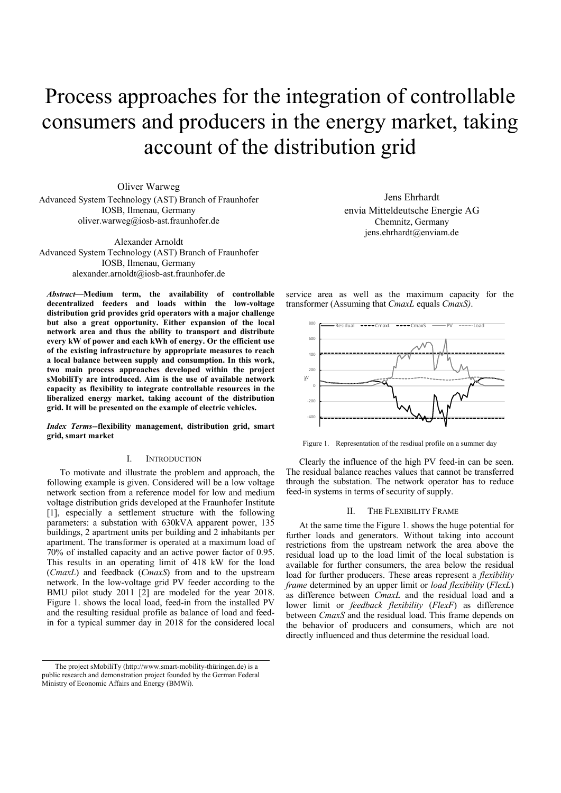# Process approaches for the integration of controllable consumers and producers in the energy market, taking account of the distribution grid

Oliver Warweg Advanced System Technology (AST) Branch of Fraunhofer IOSB, Ilmenau, Germany oliver.warweg@iosb-ast.fraunhofer.de

Alexander Arnoldt Advanced System Technology (AST) Branch of Fraunhofer IOSB, Ilmenau, Germany alexander.arnoldt@iosb-ast.fraunhofer.de

*Abstract***—Medium term, the availability of controllable decentralized feeders and loads within the low-voltage distribution grid provides grid operators with a major challenge but also a great opportunity. Either expansion of the local network area and thus the ability to transport and distribute every kW of power and each kWh of energy. Or the efficient use of the existing infrastructure by appropriate measures to reach a local balance between supply and consumption. In this work, two main process approaches developed within the project sMobiliTy are introduced. Aim is the use of available network capacity as flexibility to integrate controllable resources in the liberalized energy market, taking account of the distribution grid. It will be presented on the example of electric vehicles.** 

*Index Terms***--flexibility management, distribution grid, smart grid, smart market** 

## I. INTRODUCTION

To motivate and illustrate the problem and approach, the following example is given. Considered will be a low voltage network section from a reference model for low and medium voltage distribution grids developed at the Fraunhofer Institute [1], especially a settlement structure with the following parameters: a substation with 630kVA apparent power, 135 buildings, 2 apartment units per building and 2 inhabitants per apartment. The transformer is operated at a maximum load of 70% of installed capacity and an active power factor of 0.95. This results in an operating limit of 418 kW for the load (*CmaxL*) and feedback (*CmaxS*) from and to the upstream network. In the low-voltage grid PV feeder according to the BMU pilot study 2011 [2] are modeled for the year 2018. Figure 1. shows the local load, feed-in from the installed PV and the resulting residual profile as balance of load and feedin for a typical summer day in 2018 for the considered local

Jens Ehrhardt envia Mitteldeutsche Energie AG Chemnitz, Germany jens.ehrhardt@enviam.de

service area as well as the maximum capacity for the transformer (Assuming that *CmaxL* equals *CmaxS)*.



Figure 1. Representation of the resdiual profile on a summer day

Clearly the influence of the high PV feed-in can be seen. The residual balance reaches values that cannot be transferred through the substation. The network operator has to reduce feed-in systems in terms of security of supply.

## II. THE FLEXIBILITY FRAME

At the same time the Figure 1. shows the huge potential for further loads and generators. Without taking into account restrictions from the upstream network the area above the residual load up to the load limit of the local substation is available for further consumers, the area below the residual load for further producers. These areas represent a *flexibility frame* determined by an upper limit or *load flexibility* (*FlexL*) as difference between *CmaxL* and the residual load and a lower limit or *feedback flexibility* (*FlexF*) as difference between *CmaxS* and the residual load. This frame depends on the behavior of producers and consumers, which are not directly influenced and thus determine the residual load.

The project sMobiliTy (http://www.smart-mobility-thüringen.de) is a public research and demonstration project founded by the German Federal Ministry of Economic Affairs and Energy (BMWi).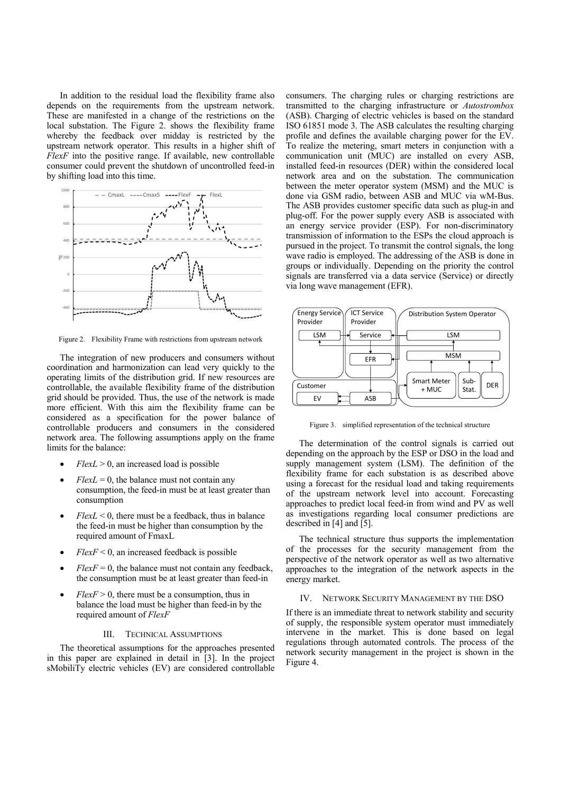In addition to the residual load the flexibility frame also depends on the requirements from the upstream network. These are manifested in a change of the restrictions on the local substation. The Figure 2. shows the flexibility frame whereby the feedback over midday is restricted by the upstream network operator. This results in a higher shift of *FlexF* into the positive range. If available, new controllable consumer could prevent the shutdown of uncontrolled feed-in by shifting load into this time.



Figure 2. Flexibility Frame with restrictions from upstream network

The integration of new producers and consumers without coordination and harmonization can lead very quickly to the operating limits of the distribution grid. If new resources are controllable, the available flexibility frame of the distribution grid should be provided. Thus, the use of the network is made more efficient. With this aim the flexibility frame can be considered as a specification for the power balance of controllable producers and consumers in the considered network area. The following assumptions apply on the frame limits for the balance:

- $FlexL > 0$ , an increased load is possible
- $FlexL = 0$ , the balance must not contain any consumption, the feed-in must be at least greater than consumption
- $FlexL \leq 0$ , there must be a feedback, thus in balance the feed-in must be higher than consumption by the required amount of FmaxL
- $FlexF \leq 0$ , an increased feedback is possible
- $FlexF = 0$ , the balance must not contain any feedback, the consumption must be at least greater than feed-in
- $FlexF > 0$ , there must be a consumption, thus in balance the load must be higher than feed-in by the required amount of *FlexF*

## III. TECHNICAL ASSUMPTIONS

The theoretical assumptions for the approaches presented in this paper are explained in detail in [3]. In the project sMobiliTy electric vehicles (EV) are considered controllable

consumers. The charging rules or charging restrictions are transmitted to the charging infrastructure or *Autostrombox* (ASB). Charging of electric vehicles is based on the standard ISO 61851 mode 3. The ASB calculates the resulting charging profile and defines the available charging power for the EV. To realize the metering, smart meters in conjunction with a communication unit (MUC) are installed on every ASB, installed feed-in resources (DER) within the considered local network area and on the substation. The communication between the meter operator system (MSM) and the MUC is done via GSM radio, between ASB and MUC via wM-Bus. The ASB provides customer specific data such as plug-in and plug-off. For the power supply every ASB is associated with an energy service provider (ESP). For non-discriminatory transmission of information to the ESPs the cloud approach is pursued in the project. To transmit the control signals, the long wave radio is employed. The addressing of the ASB is done in groups or individually. Depending on the priority the control signals are transferred via a data service (Service) or directly via long wave management (EFR).



Figure 3. simplified representation of the technical structure

The determination of the control signals is carried out depending on the approach by the ESP or DSO in the load and supply management system (LSM). The definition of the flexibility frame for each substation is as described above using a forecast for the residual load and taking requirements of the upstream network level into account. Forecasting approaches to predict local feed-in from wind and PV as well as investigations regarding local consumer predictions are described in [4] and [5].

The technical structure thus supports the implementation of the processes for the security management from the perspective of the network operator as well as two alternative approaches to the integration of the network aspects in the energy market.

### IV. NETWORK SECURITY MANAGEMENT BY THE DSO

If there is an immediate threat to network stability and security of supply, the responsible system operator must immediately intervene in the market. This is done based on legal regulations through automated controls. The process of the network security management in the project is shown in the Figure 4.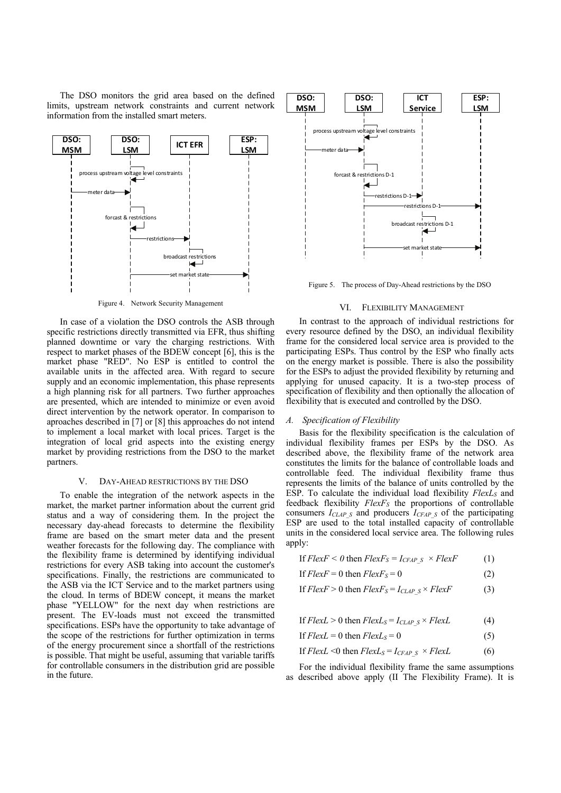The DSO monitors the grid area based on the defined limits, upstream network constraints and current network information from the installed smart meters.



Figure 4. Network Security Management

In case of a violation the DSO controls the ASB through specific restrictions directly transmitted via EFR, thus shifting planned downtime or vary the charging restrictions. With respect to market phases of the BDEW concept [6], this is the market phase "RED". No ESP is entitled to control the available units in the affected area. With regard to secure supply and an economic implementation, this phase represents a high planning risk for all partners. Two further approaches are presented, which are intended to minimize or even avoid direct intervention by the network operator. In comparison to aproaches described in [7] or [8] this approaches do not intend to implement a local market with local prices. Target is the integration of local grid aspects into the existing energy market by providing restrictions from the DSO to the market partners.

#### V. DAY-AHEAD RESTRICTIONS BY THE DSO

To enable the integration of the network aspects in the market, the market partner information about the current grid status and a way of considering them. In the project the necessary day-ahead forecasts to determine the flexibility frame are based on the smart meter data and the present weather forecasts for the following day. The compliance with the flexibility frame is determined by identifying individual restrictions for every ASB taking into account the customer's specifications. Finally, the restrictions are communicated to the ASB via the ICT Service and to the market partners using the cloud. In terms of BDEW concept, it means the market phase "YELLOW" for the next day when restrictions are present. The EV-loads must not exceed the transmitted specifications. ESPs have the opportunity to take advantage of the scope of the restrictions for further optimization in terms of the energy procurement since a shortfall of the restrictions is possible. That might be useful, assuming that variable tariffs for controllable consumers in the distribution grid are possible in the future.



Figure 5. The process of Day-Ahead restrictions by the DSO

#### VI. FLEXIBILITY MANAGEMENT

In contrast to the approach of individual restrictions for every resource defined by the DSO, an individual flexibility frame for the considered local service area is provided to the participating ESPs. Thus control by the ESP who finally acts on the energy market is possible. There is also the possibility for the ESPs to adjust the provided flexibility by returning and applying for unused capacity. It is a two-step process of specification of flexibility and then optionally the allocation of flexibility that is executed and controlled by the DSO.

## *A. Specification of Flexibility*

Basis for the flexibility specification is the calculation of individual flexibility frames per ESPs by the DSO. As described above, the flexibility frame of the network area constitutes the limits for the balance of controllable loads and controllable feed. The individual flexibility frame thus represents the limits of the balance of units controlled by the ESP. To calculate the individual load flexibility *FlexL<sub>S</sub>* and feedback flexibility *FlexF<sub>S</sub>* the proportions of controllable consumers *ICLAP\_S* and producers *ICFAP\_S* of the participating ESP are used to the total installed capacity of controllable units in the considered local service area. The following rules apply:

If 
$$
Flex F < 0
$$
 then  $Flex F_S = I_{CFAP \ S} \times Flex F$  (1)

If 
$$
Flex F = 0
$$
 then  $Flex F_S = 0$  (2)

If 
$$
FlexF > 0
$$
 then  $FlexF_S = I_{CLAP \ S} \times FlexF$  (3)

If  $FlexL > 0$  then  $FlexL<sub>S</sub> = I<sub>CLAP</sub>$  $s \times FlexL$  (4)

If 
$$
Flex L = 0
$$
 then  $Flex L_S = 0$  (5)

If 
$$
FlexL < 0
$$
 then  $FlexL_S = I_{CFAP \ S} \times FlexL$  (6)

For the individual flexibility frame the same assumptions as described above apply (II The Flexibility Frame). It is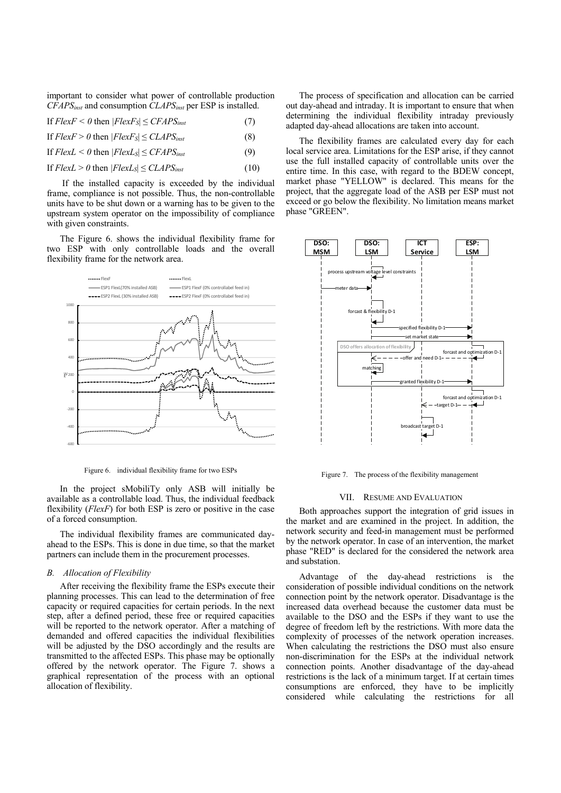important to consider what power of controllable production *CFAPSinst* and consumption *CLAPSinst* per ESP is installed.

If 
$$
Flex F < 0
$$
 then  $|Flex F_s| \leq \text{CFAPS}_{inst}$  (7)

If  $FlexF > 0$  then  $|FlexF_s| \leq CLAPS_{inst}$  (8)

If  $FlexL < 0$  then  $|FlexL_s| \leq CFAPS_{inst}$  (9)

If  $FlexL > 0$  then  $|FlexL_s| \leq CLAPS_{inst}$  (10)

 If the installed capacity is exceeded by the individual frame, compliance is not possible. Thus, the non-controllable units have to be shut down or a warning has to be given to the upstream system operator on the impossibility of compliance with given constraints.

The Figure 6. shows the individual flexibility frame for two ESP with only controllable loads and the overall flexibility frame for the network area.



Figure 6. individual flexibility frame for two ESPs

In the project sMobiliTy only ASB will initially be available as a controllable load. Thus, the individual feedback flexibility (*FlexF*) for both ESP is zero or positive in the case of a forced consumption.

The individual flexibility frames are communicated dayahead to the ESPs. This is done in due time, so that the market partners can include them in the procurement processes.

## *B. Allocation of Flexibility*

After receiving the flexibility frame the ESPs execute their planning processes. This can lead to the determination of free capacity or required capacities for certain periods. In the next step, after a defined period, these free or required capacities will be reported to the network operator. After a matching of demanded and offered capacities the individual flexibilities will be adjusted by the DSO accordingly and the results are transmitted to the affected ESPs. This phase may be optionally offered by the network operator. The Figure 7. shows a graphical representation of the process with an optional allocation of flexibility.

The process of specification and allocation can be carried out day-ahead and intraday. It is important to ensure that when determining the individual flexibility intraday previously adapted day-ahead allocations are taken into account.

The flexibility frames are calculated every day for each local service area. Limitations for the ESP arise, if they cannot use the full installed capacity of controllable units over the entire time. In this case, with regard to the BDEW concept, market phase "YELLOW" is declared. This means for the project, that the aggregate load of the ASB per ESP must not exceed or go below the flexibility. No limitation means market phase "GREEN".



Figure 7. The process of the flexibility management

#### VII. RESUME AND EVALUATION

Both approaches support the integration of grid issues in the market and are examined in the project. In addition, the network security and feed-in management must be performed by the network operator. In case of an intervention, the market phase "RED" is declared for the considered the network area and substation.

Advantage of the day-ahead restrictions is the consideration of possible individual conditions on the network connection point by the network operator. Disadvantage is the increased data overhead because the customer data must be available to the DSO and the ESPs if they want to use the degree of freedom left by the restrictions. With more data the complexity of processes of the network operation increases. When calculating the restrictions the DSO must also ensure non-discrimination for the ESPs at the individual network connection points. Another disadvantage of the day-ahead restrictions is the lack of a minimum target. If at certain times consumptions are enforced, they have to be implicitly considered while calculating the restrictions for all